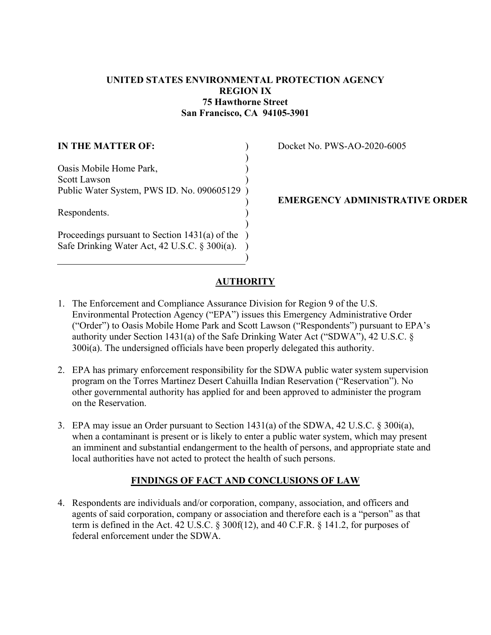# **UNITED STATES ENVIRONMENTAL PROTECTION AGENCY REGION IX 75 Hawthorne Street San Francisco, CA 94105-3901**

| <b>IN THE MATTER OF:</b>                                                                          |  |
|---------------------------------------------------------------------------------------------------|--|
| Oasis Mobile Home Park,<br>Scott Lawson                                                           |  |
| Public Water System, PWS ID. No. 090605129                                                        |  |
| Respondents.                                                                                      |  |
| Proceedings pursuant to Section $1431(a)$ of the<br>Safe Drinking Water Act, 42 U.S.C. § 300i(a). |  |

Docket No. PWS-AO-2020-6005

## **EMERGENCY ADMINISTRATIVE ORDER**

# **AUTHORITY**

- 1. The Enforcement and Compliance Assurance Division for Region 9 of the U.S. Environmental Protection Agency ("EPA") issues this Emergency Administrative Order ("Order") to Oasis Mobile Home Park and Scott Lawson ("Respondents") pursuant to EPA's authority under Section 1431(a) of the Safe Drinking Water Act ("SDWA"), 42 U.S.C. § 300i(a). The undersigned officials have been properly delegated this authority.
- 2. EPA has primary enforcement responsibility for the SDWA public water system supervision program on the Torres Martinez Desert Cahuilla Indian Reservation ("Reservation"). No other governmental authority has applied for and been approved to administer the program on the Reservation.
- 3. EPA may issue an Order pursuant to Section 1431(a) of the SDWA, 42 U.S.C. § 300i(a), when a contaminant is present or is likely to enter a public water system, which may present an imminent and substantial endangerment to the health of persons, and appropriate state and local authorities have not acted to protect the health of such persons.

# **FINDINGS OF FACT AND CONCLUSIONS OF LAW**

4. Respondents are individuals and/or corporation, company, association, and officers and agents of said corporation, company or association and therefore each is a "person" as that term is defined in the Act. 42 U.S.C. § 300f(12), and 40 C.F.R. § 141.2, for purposes of federal enforcement under the SDWA.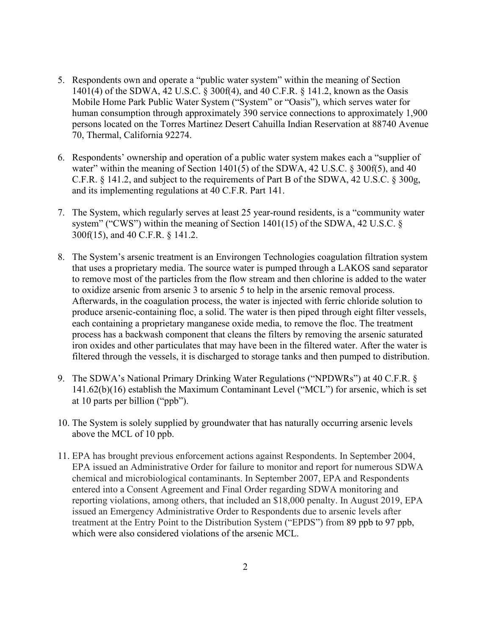- 5. Respondents own and operate a "public water system" within the meaning of Section 1401(4) of the SDWA, 42 U.S.C. § 300f(4), and 40 C.F.R. § 141.2, known as the Oasis Mobile Home Park Public Water System ("System" or "Oasis"), which serves water for human consumption through approximately 390 service connections to approximately 1,900 persons located on the Torres Martinez Desert Cahuilla Indian Reservation at 88740 Avenue 70, Thermal, California 92274.
- 6. Respondents' ownership and operation of a public water system makes each a "supplier of water" within the meaning of Section  $1401(5)$  of the SDWA, 42 U.S.C. § 300f(5), and 40 C.F.R. § 141.2, and subject to the requirements of Part B of the SDWA, 42 U.S.C. § 300g, and its implementing regulations at 40 C.F.R. Part 141.
- 7. The System, which regularly serves at least 25 year-round residents, is a "community water system" ("CWS") within the meaning of Section 1401(15) of the SDWA, 42 U.S.C. § 300f(15), and 40 C.F.R. § 141.2.
- 8. The System's arsenic treatment is an Environgen Technologies coagulation filtration system that uses a proprietary media. The source water is pumped through a LAKOS sand separator to remove most of the particles from the flow stream and then chlorine is added to the water to oxidize arsenic from arsenic 3 to arsenic 5 to help in the arsenic removal process. Afterwards, in the coagulation process, the water is injected with ferric chloride solution to produce arsenic-containing floc, a solid. The water is then piped through eight filter vessels, each containing a proprietary manganese oxide media, to remove the floc. The treatment process has a backwash component that cleans the filters by removing the arsenic saturated iron oxides and other particulates that may have been in the filtered water. After the water is filtered through the vessels, it is discharged to storage tanks and then pumped to distribution.
- 9. The SDWA's National Primary Drinking Water Regulations ("NPDWRs") at 40 C.F.R. § 141.62(b)(16) establish the Maximum Contaminant Level ("MCL") for arsenic, which is set at 10 parts per billion ("ppb").
- 10. The System is solely supplied by groundwater that has naturally occurring arsenic levels above the MCL of 10 ppb.
- 11. EPA has brought previous enforcement actions against Respondents. In September 2004, EPA issued an Administrative Order for failure to monitor and report for numerous SDWA chemical and microbiological contaminants. In September 2007, EPA and Respondents entered into a Consent Agreement and Final Order regarding SDWA monitoring and reporting violations, among others, that included an \$18,000 penalty. In August 2019, EPA issued an Emergency Administrative Order to Respondents due to arsenic levels after treatment at the Entry Point to the Distribution System ("EPDS") from 89 ppb to 97 ppb, which were also considered violations of the arsenic MCL.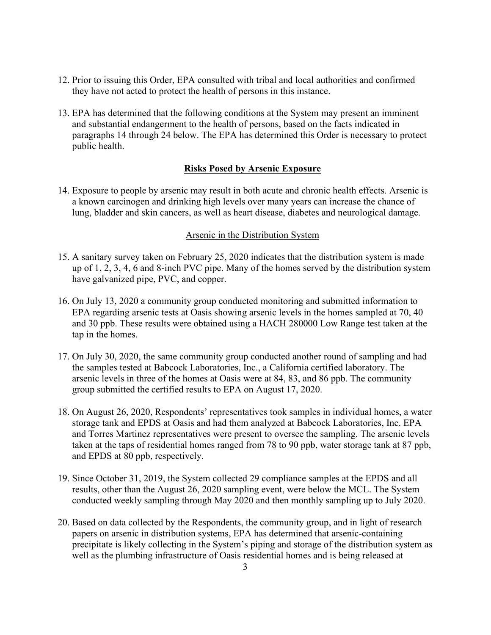- 12. Prior to issuing this Order, EPA consulted with tribal and local authorities and confirmed they have not acted to protect the health of persons in this instance.
- 13. EPA has determined that the following conditions at the System may present an imminent and substantial endangerment to the health of persons, based on the facts indicated in paragraphs 14 through 24 below. The EPA has determined this Order is necessary to protect public health.

### **Risks Posed by Arsenic Exposure**

14. Exposure to people by arsenic may result in both acute and chronic health effects. Arsenic is a known carcinogen and drinking high levels over many years can increase the chance of lung, bladder and skin cancers, as well as heart disease, diabetes and neurological damage.

### Arsenic in the Distribution System

- 15. A sanitary survey taken on February 25, 2020 indicates that the distribution system is made up of 1, 2, 3, 4, 6 and 8-inch PVC pipe. Many of the homes served by the distribution system have galvanized pipe, PVC, and copper.
- 16. On July 13, 2020 a community group conducted monitoring and submitted information to EPA regarding arsenic tests at Oasis showing arsenic levels in the homes sampled at 70, 40 and 30 ppb. These results were obtained using a HACH 280000 Low Range test taken at the tap in the homes.
- 17. On July 30, 2020, the same community group conducted another round of sampling and had the samples tested at Babcock Laboratories, Inc., a California certified laboratory. The arsenic levels in three of the homes at Oasis were at 84, 83, and 86 ppb. The community group submitted the certified results to EPA on August 17, 2020.
- 18. On August 26, 2020, Respondents' representatives took samples in individual homes, a water storage tank and EPDS at Oasis and had them analyzed at Babcock Laboratories, Inc. EPA and Torres Martinez representatives were present to oversee the sampling. The arsenic levels taken at the taps of residential homes ranged from 78 to 90 ppb, water storage tank at 87 ppb, and EPDS at 80 ppb, respectively.
- 19. Since October 31, 2019, the System collected 29 compliance samples at the EPDS and all results, other than the August 26, 2020 sampling event, were below the MCL. The System conducted weekly sampling through May 2020 and then monthly sampling up to July 2020.
- 20. Based on data collected by the Respondents, the community group, and in light of research papers on arsenic in distribution systems, EPA has determined that arsenic-containing precipitate is likely collecting in the System's piping and storage of the distribution system as well as the plumbing infrastructure of Oasis residential homes and is being released at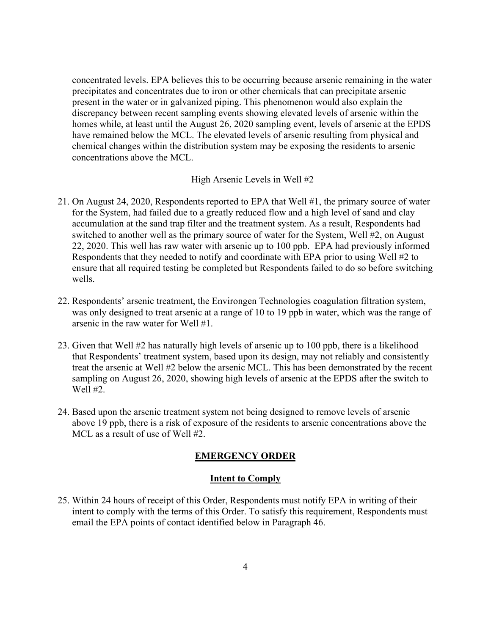concentrated levels. EPA believes this to be occurring because arsenic remaining in the water precipitates and concentrates due to iron or other chemicals that can precipitate arsenic present in the water or in galvanized piping. This phenomenon would also explain the discrepancy between recent sampling events showing elevated levels of arsenic within the homes while, at least until the August 26, 2020 sampling event, levels of arsenic at the EPDS have remained below the MCL. The elevated levels of arsenic resulting from physical and chemical changes within the distribution system may be exposing the residents to arsenic concentrations above the MCL.

#### High Arsenic Levels in Well #2

- 21. On August 24, 2020, Respondents reported to EPA that Well #1, the primary source of water for the System, had failed due to a greatly reduced flow and a high level of sand and clay accumulation at the sand trap filter and the treatment system. As a result, Respondents had switched to another well as the primary source of water for the System, Well #2, on August 22, 2020. This well has raw water with arsenic up to 100 ppb. EPA had previously informed Respondents that they needed to notify and coordinate with EPA prior to using Well #2 to ensure that all required testing be completed but Respondents failed to do so before switching wells.
- 22. Respondents' arsenic treatment, the Environgen Technologies coagulation filtration system, was only designed to treat arsenic at a range of 10 to 19 ppb in water, which was the range of arsenic in the raw water for Well #1.
- 23. Given that Well #2 has naturally high levels of arsenic up to 100 ppb, there is a likelihood that Respondents' treatment system, based upon its design, may not reliably and consistently treat the arsenic at Well #2 below the arsenic MCL. This has been demonstrated by the recent sampling on August 26, 2020, showing high levels of arsenic at the EPDS after the switch to Well #2.
- 24. Based upon the arsenic treatment system not being designed to remove levels of arsenic above 19 ppb, there is a risk of exposure of the residents to arsenic concentrations above the MCL as a result of use of Well #2.

## **EMERGENCY ORDER**

#### **Intent to Comply**

25. Within 24 hours of receipt of this Order, Respondents must notify EPA in writing of their intent to comply with the terms of this Order. To satisfy this requirement, Respondents must email the EPA points of contact identified below in Paragraph 46.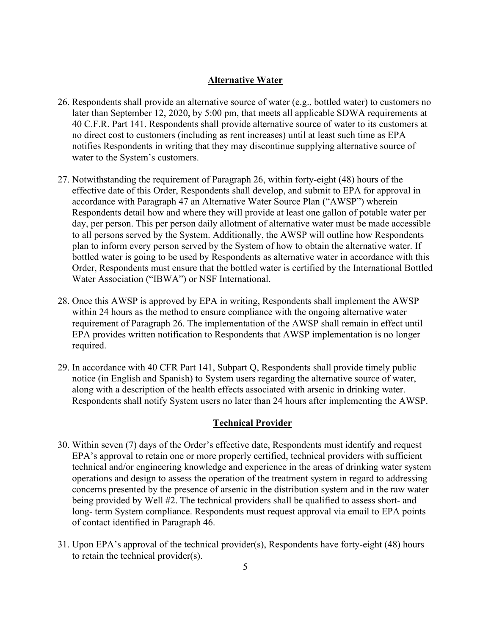### **Alternative Water**

- 26. Respondents shall provide an alternative source of water (e.g., bottled water) to customers no later than September 12, 2020, by 5:00 pm, that meets all applicable SDWA requirements at 40 C.F.R. Part 141. Respondents shall provide alternative source of water to its customers at no direct cost to customers (including as rent increases) until at least such time as EPA notifies Respondents in writing that they may discontinue supplying alternative source of water to the System's customers.
- 27. Notwithstanding the requirement of Paragraph 26, within forty-eight (48) hours of the effective date of this Order, Respondents shall develop, and submit to EPA for approval in accordance with Paragraph 47 an Alternative Water Source Plan ("AWSP") wherein Respondents detail how and where they will provide at least one gallon of potable water per day, per person. This per person daily allotment of alternative water must be made accessible to all persons served by the System. Additionally, the AWSP will outline how Respondents plan to inform every person served by the System of how to obtain the alternative water. If bottled water is going to be used by Respondents as alternative water in accordance with this Order, Respondents must ensure that the bottled water is certified by the International Bottled Water Association ("IBWA") or NSF International.
- 28. Once this AWSP is approved by EPA in writing, Respondents shall implement the AWSP within 24 hours as the method to ensure compliance with the ongoing alternative water requirement of Paragraph 26. The implementation of the AWSP shall remain in effect until EPA provides written notification to Respondents that AWSP implementation is no longer required.
- 29. In accordance with 40 CFR Part 141, Subpart Q, Respondents shall provide timely public notice (in English and Spanish) to System users regarding the alternative source of water, along with a description of the health effects associated with arsenic in drinking water. Respondents shall notify System users no later than 24 hours after implementing the AWSP.

### **Technical Provider**

- 30. Within seven (7) days of the Order's effective date, Respondents must identify and request EPA's approval to retain one or more properly certified, technical providers with sufficient technical and/or engineering knowledge and experience in the areas of drinking water system operations and design to assess the operation of the treatment system in regard to addressing concerns presented by the presence of arsenic in the distribution system and in the raw water being provided by Well #2. The technical providers shall be qualified to assess short- and long- term System compliance. Respondents must request approval via email to EPA points of contact identified in Paragraph 46.
- 31. Upon EPA's approval of the technical provider(s), Respondents have forty-eight (48) hours to retain the technical provider(s).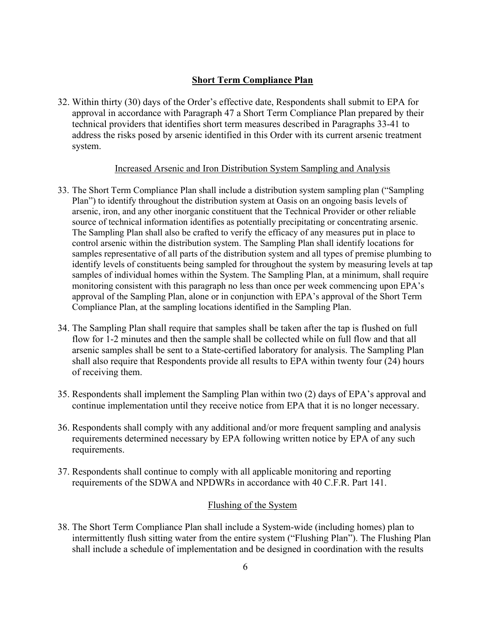## **Short Term Compliance Plan**

32. Within thirty (30) days of the Order's effective date, Respondents shall submit to EPA for approval in accordance with Paragraph 47 a Short Term Compliance Plan prepared by their technical providers that identifies short term measures described in Paragraphs 33-41 to address the risks posed by arsenic identified in this Order with its current arsenic treatment system.

### Increased Arsenic and Iron Distribution System Sampling and Analysis

- 33. The Short Term Compliance Plan shall include a distribution system sampling plan ("Sampling Plan") to identify throughout the distribution system at Oasis on an ongoing basis levels of arsenic, iron, and any other inorganic constituent that the Technical Provider or other reliable source of technical information identifies as potentially precipitating or concentrating arsenic. The Sampling Plan shall also be crafted to verify the efficacy of any measures put in place to control arsenic within the distribution system. The Sampling Plan shall identify locations for samples representative of all parts of the distribution system and all types of premise plumbing to identify levels of constituents being sampled for throughout the system by measuring levels at tap samples of individual homes within the System. The Sampling Plan, at a minimum, shall require monitoring consistent with this paragraph no less than once per week commencing upon EPA's approval of the Sampling Plan, alone or in conjunction with EPA's approval of the Short Term Compliance Plan, at the sampling locations identified in the Sampling Plan.
- 34. The Sampling Plan shall require that samples shall be taken after the tap is flushed on full flow for 1-2 minutes and then the sample shall be collected while on full flow and that all arsenic samples shall be sent to a State-certified laboratory for analysis. The Sampling Plan shall also require that Respondents provide all results to EPA within twenty four (24) hours of receiving them.
- 35. Respondents shall implement the Sampling Plan within two (2) days of EPA's approval and continue implementation until they receive notice from EPA that it is no longer necessary.
- 36. Respondents shall comply with any additional and/or more frequent sampling and analysis requirements determined necessary by EPA following written notice by EPA of any such requirements.
- 37. Respondents shall continue to comply with all applicable monitoring and reporting requirements of the SDWA and NPDWRs in accordance with 40 C.F.R. Part 141.

## Flushing of the System

38. The Short Term Compliance Plan shall include a System-wide (including homes) plan to intermittently flush sitting water from the entire system ("Flushing Plan"). The Flushing Plan shall include a schedule of implementation and be designed in coordination with the results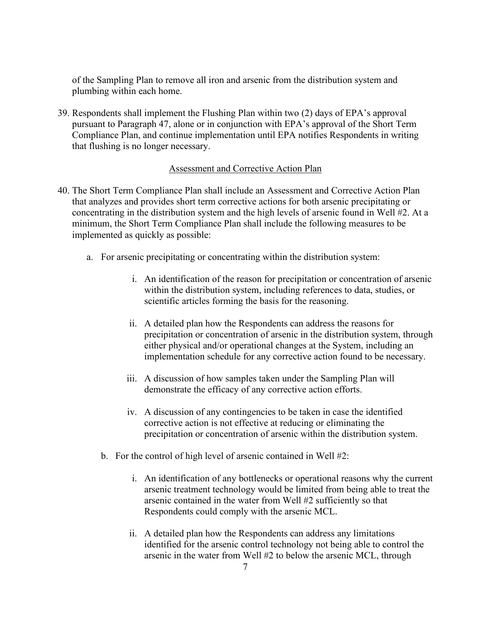of the Sampling Plan to remove all iron and arsenic from the distribution system and plumbing within each home.

39. Respondents shall implement the Flushing Plan within two (2) days of EPA's approval pursuant to Paragraph 47, alone or in conjunction with EPA's approval of the Short Term Compliance Plan, and continue implementation until EPA notifies Respondents in writing that flushing is no longer necessary.

## Assessment and Corrective Action Plan

- 40. The Short Term Compliance Plan shall include an Assessment and Corrective Action Plan that analyzes and provides short term corrective actions for both arsenic precipitating or concentrating in the distribution system and the high levels of arsenic found in Well #2. At a minimum, the Short Term Compliance Plan shall include the following measures to be implemented as quickly as possible:
	- a. For arsenic precipitating or concentrating within the distribution system:
		- i. An identification of the reason for precipitation or concentration of arsenic within the distribution system, including references to data, studies, or scientific articles forming the basis for the reasoning.
		- ii. A detailed plan how the Respondents can address the reasons for precipitation or concentration of arsenic in the distribution system, through either physical and/or operational changes at the System, including an implementation schedule for any corrective action found to be necessary.
		- iii. A discussion of how samples taken under the Sampling Plan will demonstrate the efficacy of any corrective action efforts.
		- iv. A discussion of any contingencies to be taken in case the identified corrective action is not effective at reducing or eliminating the precipitation or concentration of arsenic within the distribution system.
		- b. For the control of high level of arsenic contained in Well #2:
			- i. An identification of any bottlenecks or operational reasons why the current arsenic treatment technology would be limited from being able to treat the arsenic contained in the water from Well #2 sufficiently so that Respondents could comply with the arsenic MCL.
			- ii. A detailed plan how the Respondents can address any limitations identified for the arsenic control technology not being able to control the arsenic in the water from Well #2 to below the arsenic MCL, through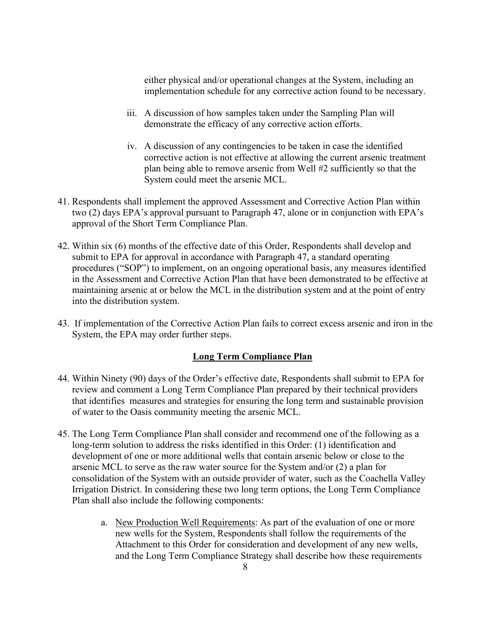either physical and/or operational changes at the System, including an implementation schedule for any corrective action found to be necessary.

- iii. A discussion of how samples taken under the Sampling Plan will demonstrate the efficacy of any corrective action efforts.
- iv. A discussion of any contingencies to be taken in case the identified corrective action is not effective at allowing the current arsenic treatment plan being able to remove arsenic from Well #2 sufficiently so that the System could meet the arsenic MCL.
- 41. Respondents shall implement the approved Assessment and Corrective Action Plan within two (2) days EPA's approval pursuant to Paragraph 47, alone or in conjunction with EPA's approval of the Short Term Compliance Plan.
- 42. Within six (6) months of the effective date of this Order, Respondents shall develop and submit to EPA for approval in accordance with Paragraph 47, a standard operating procedures ("SOP") to implement, on an ongoing operational basis, any measures identified in the Assessment and Corrective Action Plan that have been demonstrated to be effective at maintaining arsenic at or below the MCL in the distribution system and at the point of entry into the distribution system.
- 43. If implementation of the Corrective Action Plan fails to correct excess arsenic and iron in the System, the EPA may order further steps.

## **Long Term Compliance Plan**

- 44. Within Ninety (90) days of the Order's effective date, Respondents shall submit to EPA for review and comment a Long Term Compliance Plan prepared by their technical providers that identifies measures and strategies for ensuring the long term and sustainable provision of water to the Oasis community meeting the arsenic MCL.
- 45. The Long Term Compliance Plan shall consider and recommend one of the following as a long-term solution to address the risks identified in this Order: (1) identification and development of one or more additional wells that contain arsenic below or close to the arsenic MCL to serve as the raw water source for the System and/or (2) a plan for consolidation of the System with an outside provider of water, such as the Coachella Valley Irrigation District. In considering these two long term options, the Long Term Compliance Plan shall also include the following components:
	- a. New Production Well Requirements: As part of the evaluation of one or more new wells for the System, Respondents shall follow the requirements of the Attachment to this Order for consideration and development of any new wells, and the Long Term Compliance Strategy shall describe how these requirements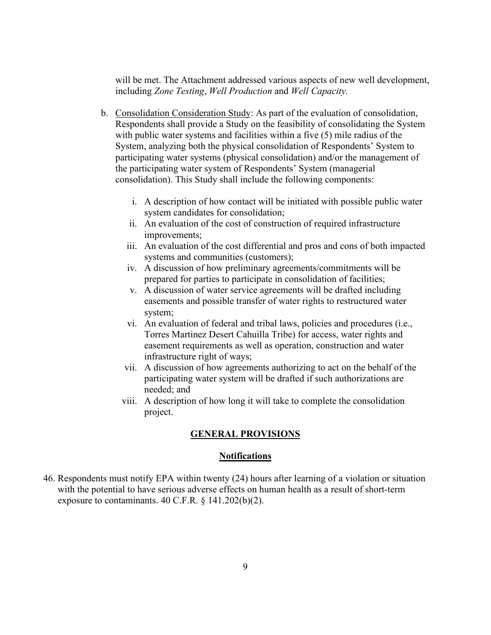will be met. The Attachment addressed various aspects of new well development, including *Zone Testing*, *Well Production* and *Well Capacity.*

- b. Consolidation Consideration Study: As part of the evaluation of consolidation, Respondents shall provide a Study on the feasibility of consolidating the System with public water systems and facilities within a five (5) mile radius of the System, analyzing both the physical consolidation of Respondents' System to participating water systems (physical consolidation) and/or the management of the participating water system of Respondents' System (managerial consolidation). This Study shall include the following components:
	- i. A description of how contact will be initiated with possible public water system candidates for consolidation;
	- ii. An evaluation of the cost of construction of required infrastructure improvements;
	- iii. An evaluation of the cost differential and pros and cons of both impacted systems and communities (customers);
	- iv. A discussion of how preliminary agreements/commitments will be prepared for parties to participate in consolidation of facilities;
	- v. A discussion of water service agreements will be drafted including easements and possible transfer of water rights to restructured water system;
	- vi. An evaluation of federal and tribal laws, policies and procedures (i.e., Torres Martinez Desert Cahuilla Tribe) for access, water rights and easement requirements as well as operation, construction and water infrastructure right of ways;
	- vii. A discussion of how agreements authorizing to act on the behalf of the participating water system will be drafted if such authorizations are needed; and
	- viii. A description of how long it will take to complete the consolidation project.

### **GENERAL PROVISIONS**

## **Notifications**

46. Respondents must notify EPA within twenty (24) hours after learning of a violation or situation with the potential to have serious adverse effects on human health as a result of short-term exposure to contaminants. 40 C.F.R. § 141.202(b)(2).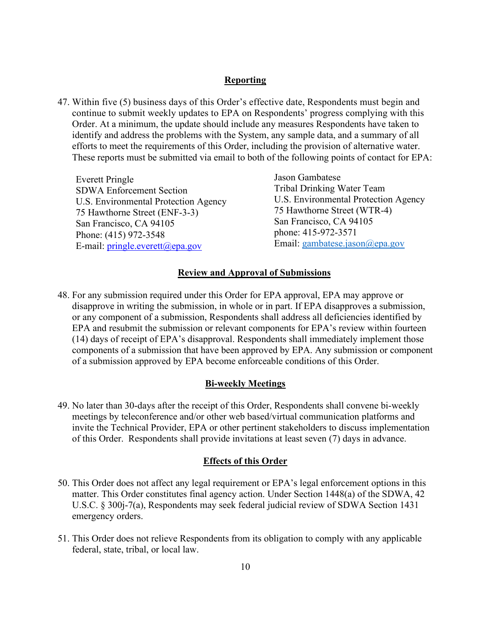### **Reporting**

47. Within five (5) business days of this Order's effective date, Respondents must begin and continue to submit weekly updates to EPA on Respondents' progress complying with this Order. At a minimum, the update should include any measures Respondents have taken to identify and address the problems with the System, any sample data, and a summary of all efforts to meet the requirements of this Order, including the provision of alternative water. These reports must be submitted via email to both of the following points of contact for EPA:

Everett Pringle SDWA Enforcement Section U.S. Environmental Protection Agency 75 Hawthorne Street (ENF-3-3) San Francisco, CA 94105 Phone: (415) 972-3548 E-mail: [pringle.everett@epa.gov](mailto:pringle.everett@epa.gov)

Jason Gambatese Tribal Drinking Water Team U.S. Environmental Protection Agency 75 Hawthorne Street (WTR-4) San Francisco, CA 94105 phone: 415-972-3571 Email: gambatese.jason@epa.gov

### **Review and Approval of Submissions**

48. For any submission required under this Order for EPA approval, EPA may approve or disapprove in writing the submission, in whole or in part. If EPA disapproves a submission, or any component of a submission, Respondents shall address all deficiencies identified by EPA and resubmit the submission or relevant components for EPA's review within fourteen (14) days of receipt of EPA's disapproval. Respondents shall immediately implement those components of a submission that have been approved by EPA. Any submission or component of a submission approved by EPA become enforceable conditions of this Order.

### **Bi-weekly Meetings**

49. No later than 30-days after the receipt of this Order, Respondents shall convene bi-weekly meetings by teleconference and/or other web based/virtual communication platforms and invite the Technical Provider, EPA or other pertinent stakeholders to discuss implementation of this Order. Respondents shall provide invitations at least seven (7) days in advance.

#### **Effects of this Order**

- 50. This Order does not affect any legal requirement or EPA's legal enforcement options in this matter. This Order constitutes final agency action. Under Section 1448(a) of the SDWA, 42 U.S.C. § 300j-7(a), Respondents may seek federal judicial review of SDWA Section 1431 emergency orders.
- 51. This Order does not relieve Respondents from its obligation to comply with any applicable federal, state, tribal, or local law.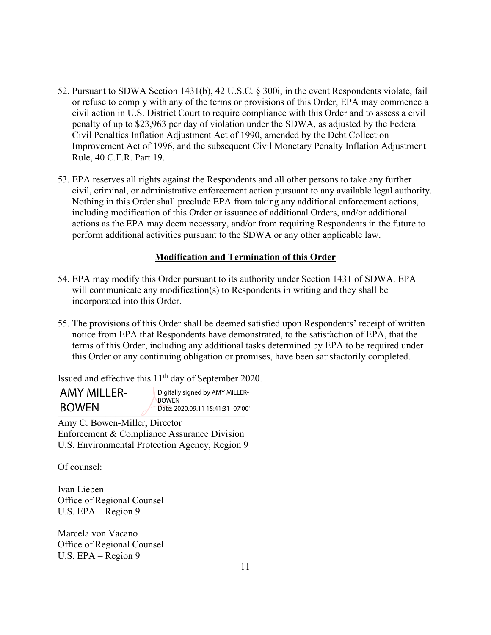- 52. Pursuant to SDWA Section 1431(b), 42 U.S.C. § 300i, in the event Respondents violate, fail or refuse to comply with any of the terms or provisions of this Order, EPA may commence a civil action in U.S. District Court to require compliance with this Order and to assess a civil penalty of up to \$23,963 per day of violation under the SDWA, as adjusted by the Federal Civil Penalties Inflation Adjustment Act of 1990, amended by the Debt Collection Improvement Act of 1996, and the subsequent Civil Monetary Penalty Inflation Adjustment Rule, 40 C.F.R. Part 19.
- 53. EPA reserves all rights against the Respondents and all other persons to take any further civil, criminal, or administrative enforcement action pursuant to any available legal authority. Nothing in this Order shall preclude EPA from taking any additional enforcement actions, including modification of this Order or issuance of additional Orders, and/or additional actions as the EPA may deem necessary, and/or from requiring Respondents in the future to perform additional activities pursuant to the SDWA or any other applicable law.

## **Modification and Termination of this Order**

- 54. EPA may modify this Order pursuant to its authority under Section 1431 of SDWA. EPA will communicate any modification(s) to Respondents in writing and they shall be incorporated into this Order.
- 55. The provisions of this Order shall be deemed satisfied upon Respondents' receipt of written notice from EPA that Respondents have demonstrated, to the satisfaction of EPA, that the terms of this Order, including any additional tasks determined by EPA to be required under this Order or any continuing obligation or promises, have been satisfactorily completed.

Issued and effective this 11th day of September 2020.

| <b>AMY MILLER-</b> | Digitally signed by AMY MILLER-<br><b>BOWEN</b><br>Date: 2020.09.11 15:41:31 -07'00' |
|--------------------|--------------------------------------------------------------------------------------|
| <b>BOWEN</b>       |                                                                                      |

Amy C. Bowen-Miller, Director Enforcement & Compliance Assurance Division U.S. Environmental Protection Agency, Region 9

Of counsel:

Ivan Lieben Office of Regional Counsel U.S. EPA – Region 9

Marcela von Vacano Office of Regional Counsel U.S. EPA – Region 9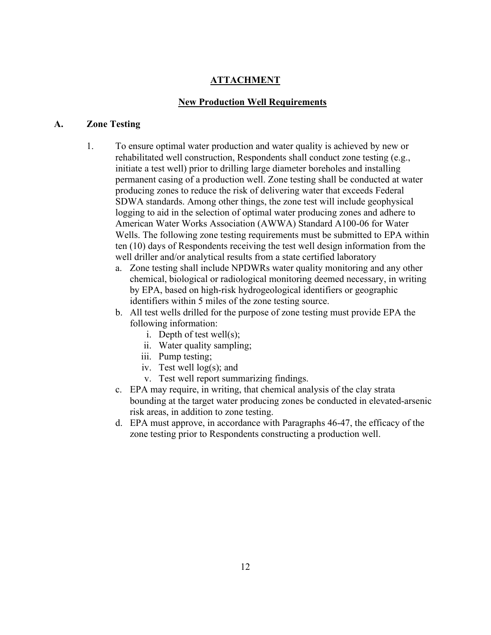## **ATTACHMENT**

## **New Production Well Requirements**

#### **A. Zone Testing**

- 1. To ensure optimal water production and water quality is achieved by new or rehabilitated well construction, Respondents shall conduct zone testing (e.g., initiate a test well) prior to drilling large diameter boreholes and installing permanent casing of a production well. Zone testing shall be conducted at water producing zones to reduce the risk of delivering water that exceeds Federal SDWA standards. Among other things, the zone test will include geophysical logging to aid in the selection of optimal water producing zones and adhere to American Water Works Association (AWWA) Standard A100-06 for Water Wells. The following zone testing requirements must be submitted to EPA within ten (10) days of Respondents receiving the test well design information from the well driller and/or analytical results from a state certified laboratory
	- a. Zone testing shall include NPDWRs water quality monitoring and any other chemical, biological or radiological monitoring deemed necessary, in writing by EPA, based on high-risk hydrogeological identifiers or geographic identifiers within 5 miles of the zone testing source.
	- b. All test wells drilled for the purpose of zone testing must provide EPA the following information:
		- i. Depth of test well(s);
		- ii. Water quality sampling;
		- iii. Pump testing;
		- iv. Test well log(s); and
		- v. Test well report summarizing findings.
	- c. EPA may require, in writing, that chemical analysis of the clay strata bounding at the target water producing zones be conducted in elevated-arsenic risk areas, in addition to zone testing.
	- d. EPA must approve, in accordance with Paragraphs 46-47, the efficacy of the zone testing prior to Respondents constructing a production well.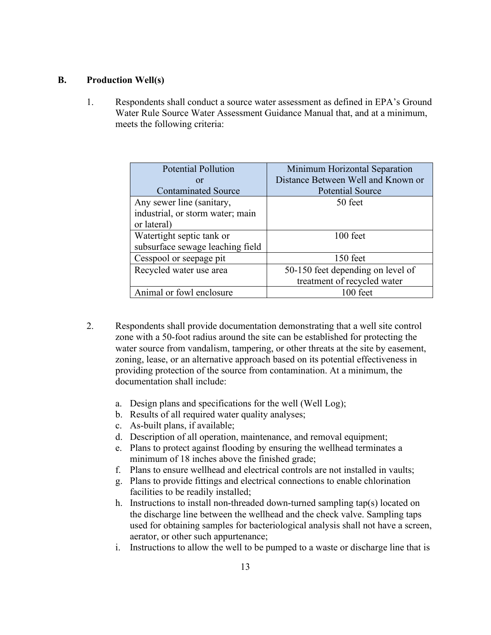## **B. Production Well(s)**

1. Respondents shall conduct a source water assessment as defined in EPA's Ground Water Rule Source Water Assessment Guidance Manual that, and at a minimum, meets the following criteria:

| <b>Potential Pollution</b>       | Minimum Horizontal Separation      |
|----------------------------------|------------------------------------|
| <b>or</b>                        | Distance Between Well and Known or |
| <b>Contaminated Source</b>       | <b>Potential Source</b>            |
| Any sewer line (sanitary,        | 50 feet                            |
| industrial, or storm water; main |                                    |
| or lateral)                      |                                    |
| Watertight septic tank or        | 100 feet                           |
| subsurface sewage leaching field |                                    |
| Cesspool or seepage pit          | 150 feet                           |
| Recycled water use area          | 50-150 feet depending on level of  |
|                                  | treatment of recycled water        |
| Animal or fowl enclosure         | $100$ feet                         |

- 2. Respondents shall provide documentation demonstrating that a well site control zone with a 50-foot radius around the site can be established for protecting the water source from vandalism, tampering, or other threats at the site by easement, zoning, lease, or an alternative approach based on its potential effectiveness in providing protection of the source from contamination. At a minimum, the documentation shall include:
	- a. Design plans and specifications for the well (Well Log);
	- b. Results of all required water quality analyses;
	- c. As-built plans, if available;
	- d. Description of all operation, maintenance, and removal equipment;
	- e. Plans to protect against flooding by ensuring the wellhead terminates a minimum of 18 inches above the finished grade;
	- f. Plans to ensure wellhead and electrical controls are not installed in vaults;
	- g. Plans to provide fittings and electrical connections to enable chlorination facilities to be readily installed;
	- h. Instructions to install non-threaded down-turned sampling tap(s) located on the discharge line between the wellhead and the check valve. Sampling taps used for obtaining samples for bacteriological analysis shall not have a screen, aerator, or other such appurtenance;
	- i. Instructions to allow the well to be pumped to a waste or discharge line that is